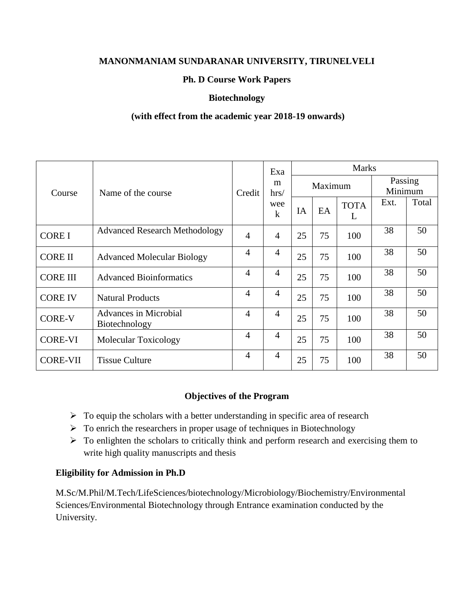# **MANONMANIAM SUNDARANAR UNIVERSITY, TIRUNELVELI**

## **Ph. D Course Work Papers**

## **Biotechnology**

## **(with effect from the academic year 2018-19 onwards)**

|                 |                                               |                | Exa            |    |         | <b>Marks</b>     |                    |       |
|-----------------|-----------------------------------------------|----------------|----------------|----|---------|------------------|--------------------|-------|
| Course          | Name of the course                            | Credit         | m<br>hrs/      |    | Maximum |                  | Passing<br>Minimum |       |
|                 |                                               |                | wee<br>$\bf k$ | IA | EA      | <b>TOTA</b><br>L | Ext.               | Total |
| <b>CORE I</b>   | <b>Advanced Research Methodology</b>          | $\overline{4}$ | $\overline{4}$ | 25 | 75      | 100              | 38                 | 50    |
| <b>CORE II</b>  | <b>Advanced Molecular Biology</b>             | 4              | $\overline{4}$ | 25 | 75      | 100              | 38                 | 50    |
| <b>CORE III</b> | <b>Advanced Bioinformatics</b>                | $\overline{4}$ | $\overline{4}$ | 25 | 75      | 100              | 38                 | 50    |
| <b>CORE IV</b>  | <b>Natural Products</b>                       | $\overline{4}$ | $\overline{4}$ | 25 | 75      | 100              | 38                 | 50    |
| <b>CORE-V</b>   | <b>Advances in Microbial</b><br>Biotechnology | $\overline{4}$ | $\overline{4}$ | 25 | 75      | 100              | 38                 | 50    |
| <b>CORE-VI</b>  | <b>Molecular Toxicology</b>                   | $\overline{4}$ | $\overline{4}$ | 25 | 75      | 100              | 38                 | 50    |
| <b>CORE-VII</b> | <b>Tissue Culture</b>                         | $\overline{4}$ | $\overline{4}$ | 25 | 75      | 100              | 38                 | 50    |

#### **Objectives of the Program**

- $\triangleright$  To equip the scholars with a better understanding in specific area of research
- $\triangleright$  To enrich the researchers in proper usage of techniques in Biotechnology
- $\triangleright$  To enlighten the scholars to critically think and perform research and exercising them to write high quality manuscripts and thesis

#### **Eligibility for Admission in Ph.D**

M.Sc/M.Phil/M.Tech/LifeSciences/biotechnology/Microbiology/Biochemistry/Environmental Sciences/Environmental Biotechnology through Entrance examination conducted by the University.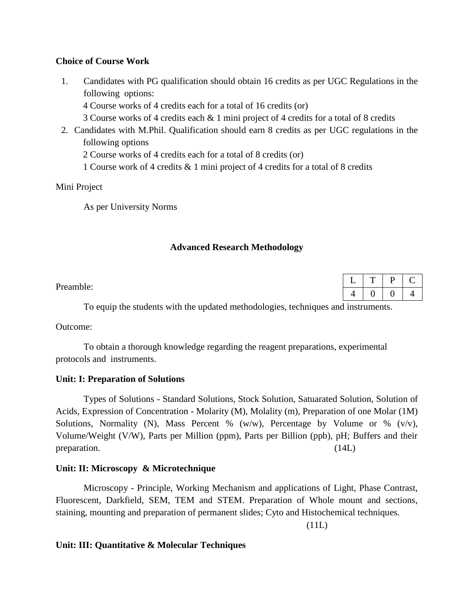## **Choice of Course Work**

1. Candidates with PG qualification should obtain 16 credits as per UGC Regulations in the following options:

4 Course works of 4 credits each for a total of 16 credits (or)

3 Course works of 4 credits each & 1 mini project of 4 credits for a total of 8 credits

2. Candidates with M.Phil. Qualification should earn 8 credits as per UGC regulations in the following options

2 Course works of 4 credits each for a total of 8 credits (or)

1 Course work of 4 credits & 1 mini project of 4 credits for a total of 8 credits

# Mini Project

As per University Norms

## **Advanced Research Methodology**

Preamble:

To equip the students with the updated methodologies, techniques and instruments.

Outcome:

To obtain a thorough knowledge regarding the reagent preparations, experimental protocols and instruments.

# **Unit: I: Preparation of Solutions**

Types of Solutions - Standard Solutions, Stock Solution, Satuarated Solution, Solution of Acids, Expression of Concentration - Molarity (M), Molality (m), Preparation of one Molar (1M) Solutions, Normality (N), Mass Percent % (w/w), Percentage by Volume or % (v/v), Volume/Weight (V/W), Parts per Million (ppm), Parts per Billion (ppb), pH; Buffers and their preparation. (14L)

# **Unit: II: Microscopy & Microtechnique**

Microscopy - Principle, Working Mechanism and applications of Light, Phase Contrast, Fluorescent, Darkfield, SEM, TEM and STEM. Preparation of Whole mount and sections, staining, mounting and preparation of permanent slides; Cyto and Histochemical techniques.

(11L)

# **Unit: III: Quantitative & Molecular Techniques**

|    | -- | ш |  |
|----|----|---|--|
| т, |    |   |  |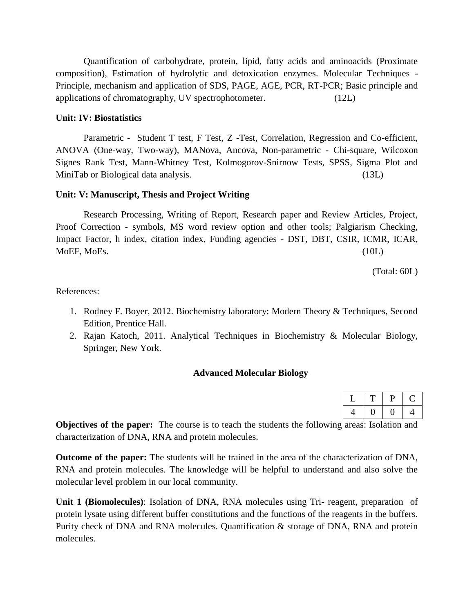Quantification of carbohydrate, protein, lipid, fatty acids and aminoacids (Proximate composition), Estimation of hydrolytic and detoxication enzymes. Molecular Techniques - Principle, mechanism and application of SDS, PAGE, AGE, PCR, RT-PCR; Basic principle and applications of chromatography, UV spectrophotometer. (12L)

#### **Unit: IV: Biostatistics**

Parametric - Student T test, F Test, Z -Test, Correlation, Regression and Co-efficient, ANOVA (One-way, Two-way), MANova, Ancova, Non-parametric - Chi-square, Wilcoxon Signes Rank Test, Mann-Whitney Test, Kolmogorov-Snirnow Tests, SPSS, Sigma Plot and MiniTab or Biological data analysis. (13L)

#### **Unit: V: Manuscript, Thesis and Project Writing**

Research Processing, Writing of Report, Research paper and Review Articles, Project, Proof Correction - symbols, MS word review option and other tools; Palgiarism Checking, Impact Factor, h index, citation index, Funding agencies - DST, DBT, CSIR, ICMR, ICAR, MoEF, MoEs. (10L)

(Total: 60L)

References:

- 1. Rodney F. Boyer, 2012. Biochemistry laboratory: Modern Theory & Techniques, Second Edition, Prentice Hall.
- 2. Rajan Katoch, 2011. Analytical Techniques in Biochemistry & Molecular Biology, Springer, New York.

#### **Advanced Molecular Biology**

|  | u |  |
|--|---|--|
|  |   |  |

**Objectives of the paper:** The course is to teach the students the following areas: Isolation and characterization of DNA, RNA and protein molecules.

**Outcome of the paper:** The students will be trained in the area of the characterization of DNA, RNA and protein molecules. The knowledge will be helpful to understand and also solve the molecular level problem in our local community.

**Unit 1 (Biomolecules)**: Isolation of DNA, RNA molecules using Tri- reagent, preparation of protein lysate using different buffer constitutions and the functions of the reagents in the buffers. Purity check of DNA and RNA molecules. Quantification & storage of DNA, RNA and protein molecules.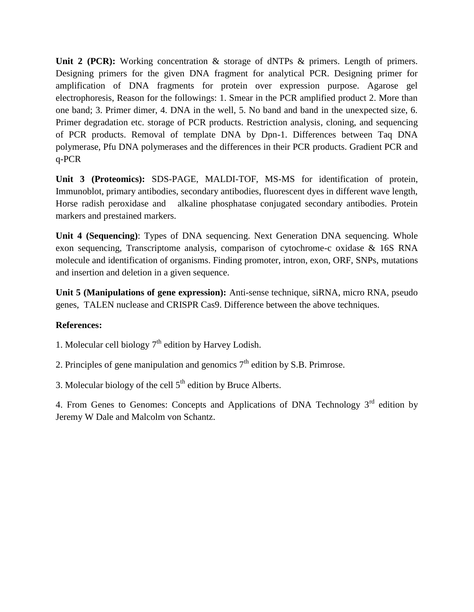Unit 2 (PCR): Working concentration & storage of dNTPs & primers. Length of primers. Designing primers for the given DNA fragment for analytical PCR. Designing primer for amplification of DNA fragments for protein over expression purpose. Agarose gel electrophoresis, Reason for the followings: 1. Smear in the PCR amplified product 2. More than one band; 3. Primer dimer, 4. DNA in the well, 5. No band and band in the unexpected size, 6. Primer degradation etc. storage of PCR products. Restriction analysis, cloning, and sequencing of PCR products. Removal of template DNA by Dpn-1. Differences between Taq DNA polymerase, Pfu DNA polymerases and the differences in their PCR products. Gradient PCR and q-PCR

**Unit 3 (Proteomics):** SDS-PAGE, MALDI-TOF, MS-MS for identification of protein, Immunoblot, primary antibodies, secondary antibodies, fluorescent dyes in different wave length, Horse radish peroxidase and alkaline phosphatase conjugated secondary antibodies. Protein markers and prestained markers.

**Unit 4 (Sequencing)**: Types of DNA sequencing. Next Generation DNA sequencing. Whole exon sequencing, Transcriptome analysis, comparison of cytochrome-c oxidase & 16S RNA molecule and identification of organisms. Finding promoter, intron, exon, ORF, SNPs, mutations and insertion and deletion in a given sequence.

**Unit 5 (Manipulations of gene expression):** Anti-sense technique, siRNA, micro RNA, pseudo genes, TALEN nuclease and CRISPR Cas9. Difference between the above techniques.

# **References:**

1. Molecular cell biology  $7<sup>th</sup>$  edition by Harvey Lodish.

2. Principles of gene manipulation and genomics  $7<sup>th</sup>$  edition by S.B. Primrose.

3. Molecular biology of the cell  $5<sup>th</sup>$  edition by Bruce Alberts.

4. From Genes to Genomes: Concepts and Applications of DNA Technology  $3<sup>rd</sup>$  edition by Jeremy W Dale and Malcolm von Schantz.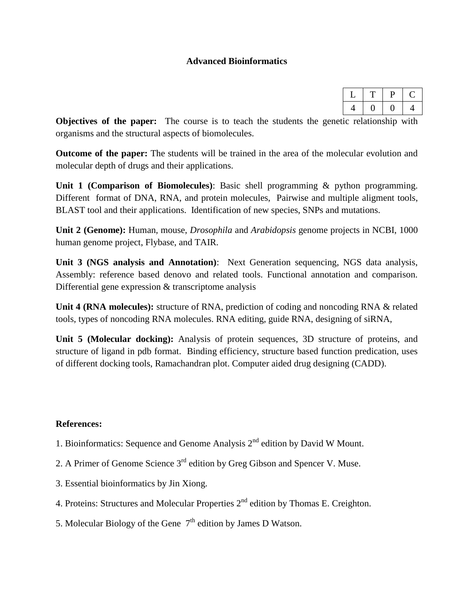### **Advanced Bioinformatics**

**Objectives of the paper:** The course is to teach the students the genetic relationship with organisms and the structural aspects of biomolecules.

**Outcome of the paper:** The students will be trained in the area of the molecular evolution and molecular depth of drugs and their applications.

**Unit 1 (Comparison of Biomolecules)**: Basic shell programming & python programming. Different format of DNA, RNA, and protein molecules, Pairwise and multiple aligment tools, BLAST tool and their applications. Identification of new species, SNPs and mutations.

**Unit 2 (Genome):** Human, mouse, *Drosophila* and *Arabidopsis* genome projects in NCBI, 1000 human genome project, Flybase, and TAIR.

**Unit 3 (NGS analysis and Annotation)**: Next Generation sequencing, NGS data analysis, Assembly: reference based denovo and related tools. Functional annotation and comparison. Differential gene expression & transcriptome analysis

**Unit 4 (RNA molecules):** structure of RNA, prediction of coding and noncoding RNA & related tools, types of noncoding RNA molecules. RNA editing, guide RNA, designing of siRNA,

**Unit 5 (Molecular docking):** Analysis of protein sequences, 3D structure of proteins, and structure of ligand in pdb format. Binding efficiency, structure based function predication, uses of different docking tools, Ramachandran plot. Computer aided drug designing (CADD).

#### **References:**

- 1. Bioinformatics: Sequence and Genome Analysis  $2<sup>nd</sup>$  edition by David W Mount.
- 2. A Primer of Genome Science  $3<sup>rd</sup>$  edition by Greg Gibson and Spencer V. Muse.
- 3. Essential bioinformatics by Jin Xiong.
- 4. Proteins: Structures and Molecular Properties  $2<sup>nd</sup>$  edition by Thomas E. Creighton.
- 5. Molecular Biology of the Gene  $7<sup>th</sup>$  edition by James D Watson.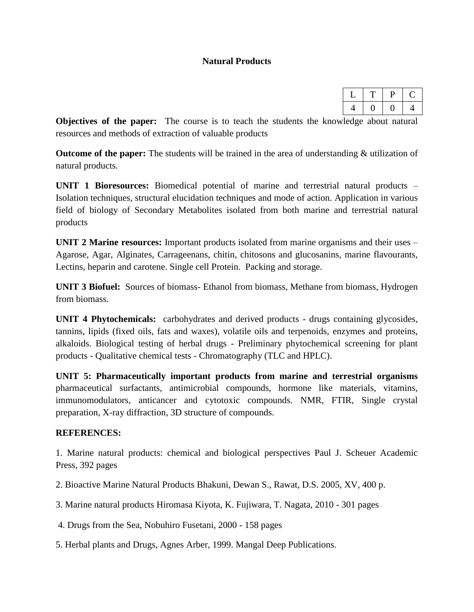## **Natural Products**

| ٠. |
|----|

**Objectives of the paper:** The course is to teach the students the knowledge about natural resources and methods of extraction of valuable products

**Outcome of the paper:** The students will be trained in the area of understanding & utilization of natural products.

**UNIT 1 Bioresources:** Biomedical potential of marine and terrestrial natural products – Isolation techniques, structural elucidation techniques and mode of action. Application in various field of biology of Secondary Metabolites isolated from both marine and terrestrial natural products

**UNIT 2 Marine resources:** Important products isolated from marine organisms and their uses – Agarose, Agar, Alginates, Carrageenans, chitin, chitosons and glucosanins, marine flavourants, Lectins, heparin and carotene. Single cell Protein. Packing and storage.

**UNIT 3 Biofuel:** Sources of biomass- Ethanol from biomass, Methane from biomass, Hydrogen from biomass.

**UNIT 4 Phytochemicals:** carbohydrates and derived products - drugs containing glycosides, tannins, lipids (fixed oils, fats and waxes), volatile oils and terpenoids, enzymes and proteins, alkaloids. Biological testing of herbal drugs - Preliminary phytochemical screening for plant products - Qualitative chemical tests - Chromatography (TLC and HPLC).

**UNIT 5: Pharmaceutically important products from marine and terrestrial organisms** pharmaceutical surfactants, antimicrobial compounds, hormone like materials, vitamins, immunomodulators, anticancer and cytotoxic compounds. NMR, FTIR, Single crystal preparation, X-ray diffraction, 3D structure of compounds.

#### **REFERENCES:**

1. Marine natural products: chemical and biological perspectives Paul J. Scheuer Academic Press, 392 pages

2. Bioactive Marine Natural Products Bhakuni, Dewan S., Rawat, D.S. 2005, XV, 400 p.

3. Marine natural products Hiromasa Kiyota, K. Fujiwara, T. Nagata, 2010 - 301 pages

4. Drugs from the Sea, Nobuhiro Fusetani, 2000 - 158 pages

5. Herbal plants and Drugs, Agnes Arber, 1999. Mangal Deep Publications.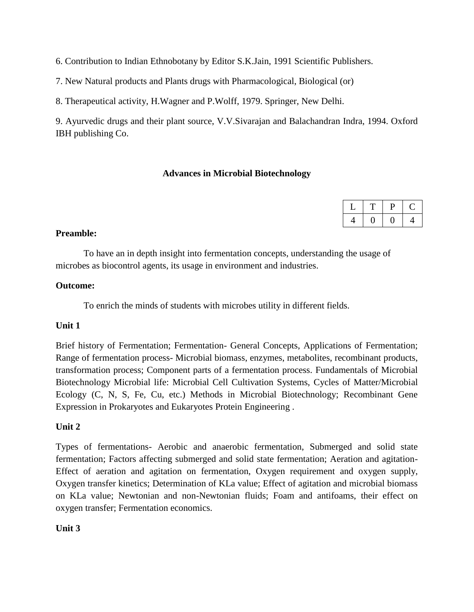6. Contribution to Indian Ethnobotany by Editor S.K.Jain, 1991 Scientific Publishers.

7. New Natural products and Plants drugs with Pharmacological, Biological (or)

8. Therapeutical activity, H.Wagner and P.Wolff, 1979. Springer, New Delhi.

9. Ayurvedic drugs and their plant source, V.V.Sivarajan and Balachandran Indra, 1994. Oxford IBH publishing Co.

## **Advances in Microbial Biotechnology**

## **Preamble:**

To have an in depth insight into fermentation concepts, understanding the usage of microbes as biocontrol agents, its usage in environment and industries.

## **Outcome:**

To enrich the minds of students with microbes utility in different fields.

# **Unit 1**

Brief history of Fermentation; Fermentation- General Concepts, Applications of Fermentation; Range of fermentation process- Microbial biomass, enzymes, metabolites, recombinant products, transformation process; Component parts of a fermentation process. Fundamentals of Microbial Biotechnology Microbial life: Microbial Cell Cultivation Systems, Cycles of Matter/Microbial Ecology (C, N, S, Fe, Cu, etc.) Methods in Microbial Biotechnology; Recombinant Gene Expression in Prokaryotes and Eukaryotes Protein Engineering .

# **Unit 2**

Types of fermentations- Aerobic and anaerobic fermentation, Submerged and solid state fermentation; Factors affecting submerged and solid state fermentation; Aeration and agitation-Effect of aeration and agitation on fermentation, Oxygen requirement and oxygen supply, Oxygen transfer kinetics; Determination of KLa value; Effect of agitation and microbial biomass on KLa value; Newtonian and non-Newtonian fluids; Foam and antifoams, their effect on oxygen transfer; Fermentation economics.

# **Unit 3**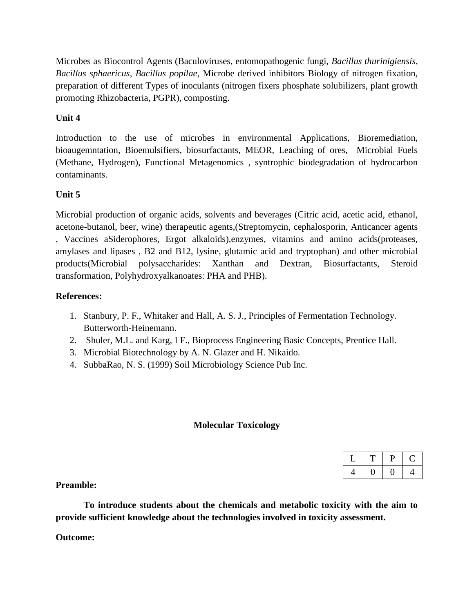Microbes as Biocontrol Agents (Baculoviruses, entomopathogenic fungi, *Bacillus thurinigiensis*, *Bacillus sphaericus*, *Bacillus popilae*, Microbe derived inhibitors Biology of nitrogen fixation, preparation of different Types of inoculants (nitrogen fixers phosphate solubilizers, plant growth promoting Rhizobacteria, PGPR), composting.

# **Unit 4**

Introduction to the use of microbes in environmental Applications, Bioremediation, bioaugemntation, Bioemulsifiers, biosurfactants, MEOR, Leaching of ores, Microbial Fuels (Methane, Hydrogen), Functional Metagenomics , syntrophic biodegradation of hydrocarbon contaminants.

# **Unit 5**

Microbial production of organic acids, solvents and beverages (Citric acid, acetic acid, ethanol, acetone-butanol, beer, wine) therapeutic agents,(Streptomycin, cephalosporin, Anticancer agents , Vaccines aSiderophores, Ergot alkaloids),enzymes, vitamins and amino acids(proteases, amylases and lipases , B2 and B12, lysine, glutamic acid and tryptophan) and other microbial products(Microbial polysaccharides: Xanthan and Dextran, Biosurfactants, Steroid transformation, Polyhydroxyalkanoates: PHA and PHB).

# **References:**

- 1. Stanbury, P. F., Whitaker and Hall, A. S. J., Principles of Fermentation Technology. Butterworth-Heinemann.
- 2. Shuler, M.L. and Karg, I F., Bioprocess Engineering Basic Concepts, Prentice Hall.
- 3. Microbial Biotechnology by A. N. Glazer and H. Nikaido.
- 4. SubbaRao, N. S. (1999) Soil Microbiology Science Pub Inc.

# **Molecular Toxicology**

|  | H. |  |
|--|----|--|
|  |    |  |

**Preamble:**

**To introduce students about the chemicals and metabolic toxicity with the aim to provide sufficient knowledge about the technologies involved in toxicity assessment.**

#### **Outcome:**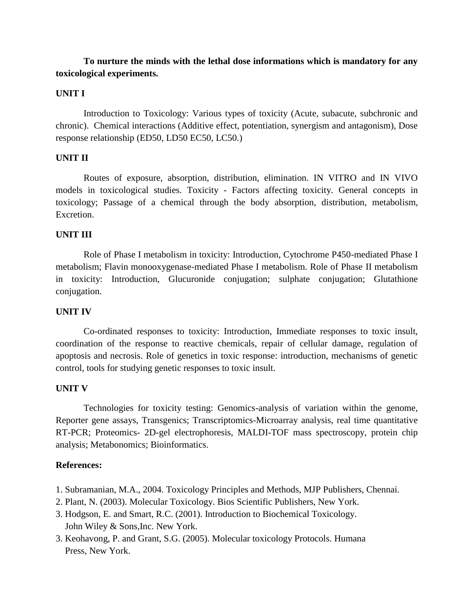# **To nurture the minds with the lethal dose informations which is mandatory for any toxicological experiments.**

### **UNIT I**

Introduction to Toxicology: Various types of toxicity (Acute, subacute, subchronic and chronic). Chemical interactions (Additive effect, potentiation, synergism and antagonism), Dose response relationship (ED50, LD50 EC50, LC50.)

#### **UNIT II**

Routes of exposure, absorption, distribution, elimination. IN VITRO and IN VIVO models in toxicological studies. Toxicity - Factors affecting toxicity. General concepts in toxicology; Passage of a chemical through the body absorption, distribution, metabolism, Excretion.

#### **UNIT III**

Role of Phase I metabolism in toxicity: Introduction, Cytochrome P450-mediated Phase I metabolism; Flavin monooxygenase-mediated Phase I metabolism. Role of Phase II metabolism in toxicity: Introduction, Glucuronide conjugation; sulphate conjugation; Glutathione conjugation.

#### **UNIT IV**

Co-ordinated responses to toxicity: Introduction, Immediate responses to toxic insult, coordination of the response to reactive chemicals, repair of cellular damage, regulation of apoptosis and necrosis. Role of genetics in toxic response: introduction, mechanisms of genetic control, tools for studying genetic responses to toxic insult.

#### **UNIT V**

Technologies for toxicity testing: Genomics-analysis of variation within the genome, Reporter gene assays, Transgenics; Transcriptomics-Microarray analysis, real time quantitative RT-PCR; Proteomics- 2D-gel electrophoresis, MALDI-TOF mass spectroscopy, protein chip analysis; Metabonomics; Bioinformatics.

#### **References:**

- 1. Subramanian, M.A., 2004. Toxicology Principles and Methods, MJP Publishers, Chennai.
- 2. Plant, N. (2003). Molecular Toxicology. Bios Scientific Publishers, New York.
- 3. Hodgson, E. and Smart, R.C. (2001). Introduction to Biochemical Toxicology. John Wiley & Sons,Inc. New York.
- 3. Keohavong, P. and Grant, S.G. (2005). Molecular toxicology Protocols. Humana Press, New York.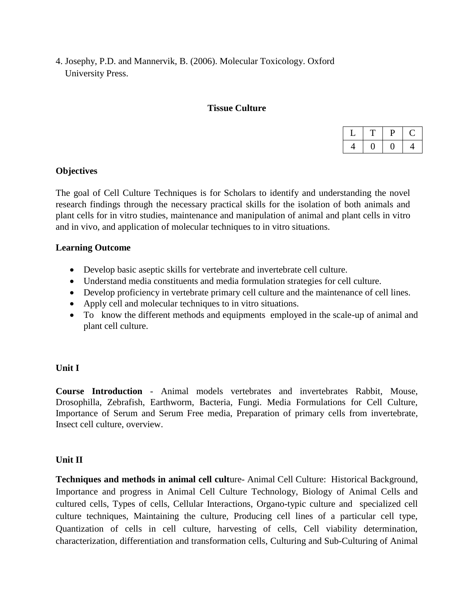4. Josephy, P.D. and Mannervik, B. (2006). Molecular Toxicology. Oxford University Press.

#### **Tissue Culture**

## **Objectives**

The goal of Cell Culture Techniques is for Scholars to identify and understanding the novel research findings through the necessary practical skills for the isolation of both animals and plant cells for in vitro studies, maintenance and manipulation of animal and plant cells in vitro and in vivo, and application of molecular techniques to in vitro situations.

#### **Learning Outcome**

- Develop basic aseptic skills for vertebrate and invertebrate cell culture.
- Understand media constituents and media formulation strategies for cell culture.
- Develop proficiency in vertebrate primary cell culture and the maintenance of cell lines.
- Apply cell and molecular techniques to in vitro situations.
- To know the different methods and equipments employed in the scale-up of animal and plant cell culture.

# **Unit I**

**Course Introduction** - Animal models vertebrates and invertebrates Rabbit, Mouse, Drosophilla, Zebrafish, Earthworm, Bacteria, Fungi. Media Formulations for Cell Culture, Importance of Serum and Serum Free media, Preparation of primary cells from invertebrate, Insect cell culture, overview.

#### **Unit II**

**Techniques and methods in animal cell cult**ure- Animal Cell Culture: Historical Background, Importance and progress in Animal Cell Culture Technology, Biology of Animal Cells and cultured cells, Types of cells, Cellular Interactions, Organo-typic culture and specialized cell culture techniques, Maintaining the culture, Producing cell lines of a particular cell type, Quantization of cells in cell culture, harvesting of cells, Cell viability determination, characterization, differentiation and transformation cells, Culturing and Sub-Culturing of Animal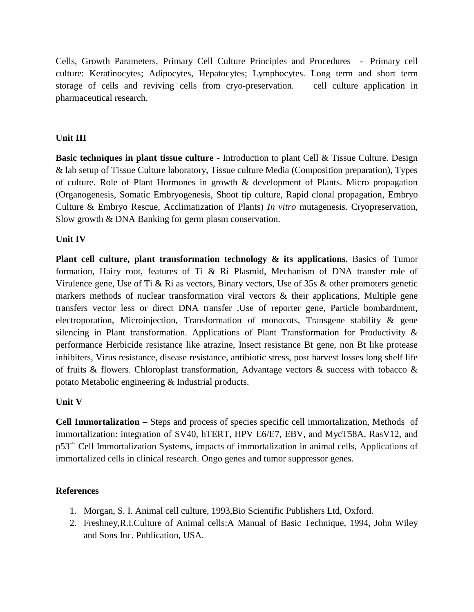Cells, Growth Parameters, Primary Cell Culture Principles and Procedures - Primary cell culture: Keratinocytes; Adipocytes, Hepatocytes; Lymphocytes. Long term and short term storage of cells and reviving cells from cryo-preservation. cell culture application in pharmaceutical research.

## **Unit III**

**Basic techniques in plant tissue culture** - Introduction to plant Cell & Tissue Culture. Design & lab setup of Tissue Culture laboratory, Tissue culture Media (Composition preparation), Types of culture. Role of Plant Hormones in growth & development of Plants. Micro propagation (Organogenesis, Somatic Embryogenesis, Shoot tip culture, Rapid clonal propagation, Embryo Culture & Embryo Rescue, Acclimatization of Plants) *In vitro* mutagenesis. Cryopreservation, Slow growth & DNA Banking for germ plasm conservation.

## **Unit IV**

**Plant cell culture, plant transformation technology & its applications.** Basics of Tumor formation, Hairy root, features of Ti & Ri Plasmid, Mechanism of DNA transfer role of Virulence gene, Use of Ti & Ri as vectors, Binary vectors, Use of 35s & other promoters genetic markers methods of nuclear transformation viral vectors  $\&$  their applications, Multiple gene transfers vector less or direct DNA transfer ,Use of reporter gene, Particle bombardment, electroporation, Microinjection, Transformation of monocots, Transgene stability & gene silencing in Plant transformation. Applications of Plant Transformation for Productivity & performance Herbicide resistance like atrazine, Insect resistance Bt gene, non Bt like protease inhibiters, Virus resistance, disease resistance, antibiotic stress, post harvest losses long shelf life of fruits & flowers. Chloroplast transformation, Advantage vectors & success with tobacco & potato Metabolic engineering & Industrial products.

# **Unit V**

**Cell Immortalization –** Steps and process of species specific cell immortalization, Methods of immortalization: integration of SV40, hTERT, HPV E6/E7, EBV, and MycT58A, RasV12, and  $p53^{-/-}$  Cell Immortalization Systems, impacts of immortalization in animal cells, Applications of immortalized cells in clinical research. Ongo genes and tumor suppressor genes.

# **References**

- 1. Morgan, S. I. Animal cell culture, 1993,Bio Scientific Publishers Ltd, Oxford.
- 2. Freshney,R.I.Culture of Animal cells:A Manual of Basic Technique, 1994, John Wiley and Sons Inc. Publication, USA.